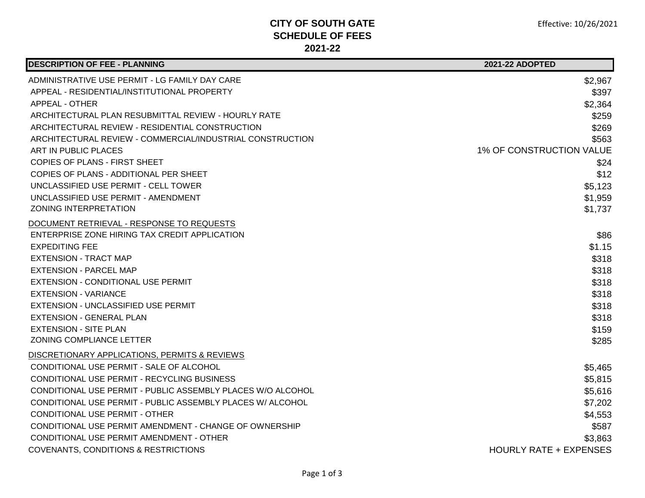## **CITY OF SOUTH GATE SCHEDULE OF FEES 2021-22**

| <b>DESCRIPTION OF FEE - PLANNING</b>                        | <b>2021-22 ADOPTED</b>          |
|-------------------------------------------------------------|---------------------------------|
| ADMINISTRATIVE USE PERMIT - LG FAMILY DAY CARE              | \$2,967                         |
| APPEAL - RESIDENTIAL/INSTITUTIONAL PROPERTY                 | \$397                           |
| APPEAL - OTHER                                              | \$2,364                         |
| ARCHITECTURAL PLAN RESUBMITTAL REVIEW - HOURLY RATE         | \$259                           |
| ARCHITECTURAL REVIEW - RESIDENTIAL CONSTRUCTION             | \$269                           |
| ARCHITECTURAL REVIEW - COMMERCIAL/INDUSTRIAL CONSTRUCTION   | \$563                           |
| ART IN PUBLIC PLACES                                        | <b>1% OF CONSTRUCTION VALUE</b> |
| COPIES OF PLANS - FIRST SHEET                               | \$24                            |
| COPIES OF PLANS - ADDITIONAL PER SHEET                      | \$12                            |
| UNCLASSIFIED USE PERMIT - CELL TOWER                        | \$5,123                         |
| UNCLASSIFIED USE PERMIT - AMENDMENT                         | \$1,959                         |
| <b>ZONING INTERPRETATION</b>                                | \$1,737                         |
| DOCUMENT RETRIEVAL - RESPONSE TO REQUESTS                   |                                 |
| ENTERPRISE ZONE HIRING TAX CREDIT APPLICATION               | \$86                            |
| <b>EXPEDITING FEE</b>                                       | \$1.15                          |
| <b>EXTENSION - TRACT MAP</b>                                | \$318                           |
| <b>EXTENSION - PARCEL MAP</b>                               | \$318                           |
| EXTENSION - CONDITIONAL USE PERMIT                          | \$318                           |
| <b>EXTENSION - VARIANCE</b>                                 | \$318                           |
| EXTENSION - UNCLASSIFIED USE PERMIT                         | \$318                           |
| <b>EXTENSION - GENERAL PLAN</b>                             | \$318                           |
| <b>EXTENSION - SITE PLAN</b>                                | \$159                           |
| ZONING COMPLIANCE LETTER                                    | \$285                           |
| DISCRETIONARY APPLICATIONS, PERMITS & REVIEWS               |                                 |
| CONDITIONAL USE PERMIT - SALE OF ALCOHOL                    | \$5,465                         |
| CONDITIONAL USE PERMIT - RECYCLING BUSINESS                 | \$5,815                         |
| CONDITIONAL USE PERMIT - PUBLIC ASSEMBLY PLACES W/O ALCOHOL | \$5,616                         |
| CONDITIONAL USE PERMIT - PUBLIC ASSEMBLY PLACES W/ ALCOHOL  | \$7,202                         |
| <b>CONDITIONAL USE PERMIT - OTHER</b>                       | \$4,553                         |
| CONDITIONAL USE PERMIT AMENDMENT - CHANGE OF OWNERSHIP      | \$587                           |
| CONDITIONAL USE PERMIT AMENDMENT - OTHER                    | \$3,863                         |
| <b>COVENANTS, CONDITIONS &amp; RESTRICTIONS</b>             | <b>HOURLY RATE + EXPENSES</b>   |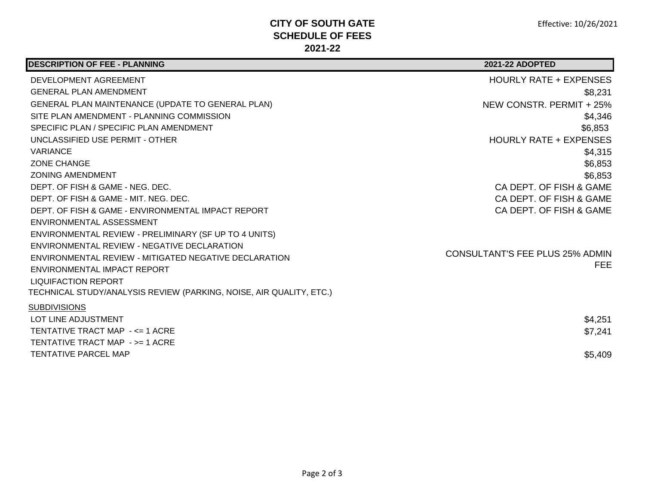## **CITY OF SOUTH GATE SCHEDULE OF FEES 2021-22**

| <b>DESCRIPTION OF FEE - PLANNING</b>                                | <b>2021-22 ADOPTED</b>                 |
|---------------------------------------------------------------------|----------------------------------------|
| DEVELOPMENT AGREEMENT                                               | <b>HOURLY RATE + EXPENSES</b>          |
| <b>GENERAL PLAN AMENDMENT</b>                                       | \$8,231                                |
| GENERAL PLAN MAINTENANCE (UPDATE TO GENERAL PLAN)                   | NEW CONSTR. PERMIT + 25%               |
| SITE PLAN AMENDMENT - PLANNING COMMISSION                           | \$4,346                                |
| SPECIFIC PLAN / SPECIFIC PLAN AMENDMENT                             | \$6,853                                |
| UNCLASSIFIED USE PERMIT - OTHER                                     | <b>HOURLY RATE + EXPENSES</b>          |
| <b>VARIANCE</b>                                                     | \$4,315                                |
| <b>ZONE CHANGE</b>                                                  | \$6,853                                |
| <b>ZONING AMENDMENT</b>                                             | \$6,853                                |
| DEPT. OF FISH & GAME - NEG. DEC.                                    | CA DEPT. OF FISH & GAME                |
| DEPT. OF FISH & GAME - MIT. NEG. DEC.                               | CA DEPT. OF FISH & GAME                |
| DEPT. OF FISH & GAME - ENVIRONMENTAL IMPACT REPORT                  | CA DEPT. OF FISH & GAME                |
| ENVIRONMENTAL ASSESSMENT                                            |                                        |
| ENVIRONMENTAL REVIEW - PRELIMINARY (SF UP TO 4 UNITS)               |                                        |
| ENVIRONMENTAL REVIEW - NEGATIVE DECLARATION                         | <b>CONSULTANT'S FEE PLUS 25% ADMIN</b> |
| ENVIRONMENTAL REVIEW - MITIGATED NEGATIVE DECLARATION               | FEE.                                   |
| ENVIRONMENTAL IMPACT REPORT                                         |                                        |
| <b>LIQUIFACTION REPORT</b>                                          |                                        |
| TECHNICAL STUDY/ANALYSIS REVIEW (PARKING, NOISE, AIR QUALITY, ETC.) |                                        |
| <b>SUBDIVISIONS</b>                                                 |                                        |
| LOT LINE ADJUSTMENT                                                 | \$4,251                                |
| TENTATIVE TRACT MAP - <= 1 ACRE                                     | \$7,241                                |
| TENTATIVE TRACT MAP - >= 1 ACRE                                     |                                        |
| <b>TENTATIVE PARCEL MAP</b>                                         | \$5,409                                |